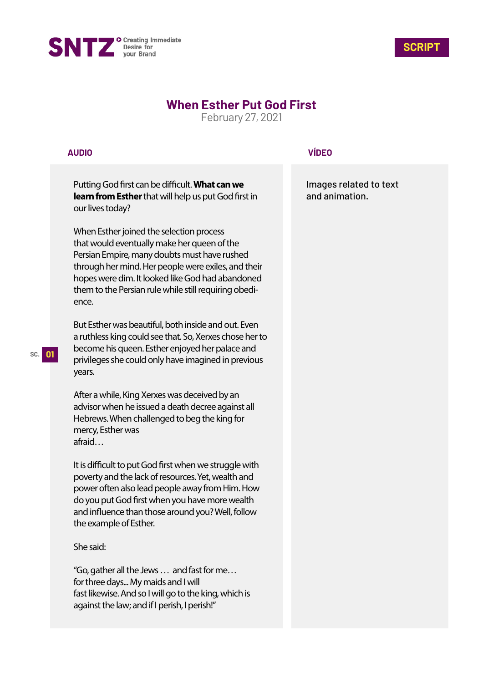



## **When Esther Put God First**

February 27, 2021

## **AUDIO**

Putting God first can be difficult. What can we **learn from Esther** that will help us put God first in our lives today?

When Esther joined the selection process that would eventually make her queen of the Persian Empire, many doubts must have rushed through her mind. Her people were exiles, and their hopes were dim. It looked like God had abandoned them to the Persian rule while still requiring obedience.

But Esther was beautiful, both inside and out. Even a ruthless king could see that. So, Xerxes chose her to become his queen. Esther enjoyed her palace and privileges she could only have imagined in previous years.

After a while, King Xerxes was deceived by an advisor when he issued a death decree against all Hebrews. When challenged to beg the king for mercy, Esther was afraid…

It is difficult to put God first when we struggle with poverty and the lack of resources. Yet, wealth and power often also lead people away from Him. How do you put God first when you have more wealth and influence than those around you? Well, follow the example of Esther.

## She said:

"Go, gather all the Jews … and fast for me… for three days... My maids and I will fast likewise. And so I will go to the king, which is against the law; and if I perish, I perish!"

## **VÍDEO**

Images related to text and animation.